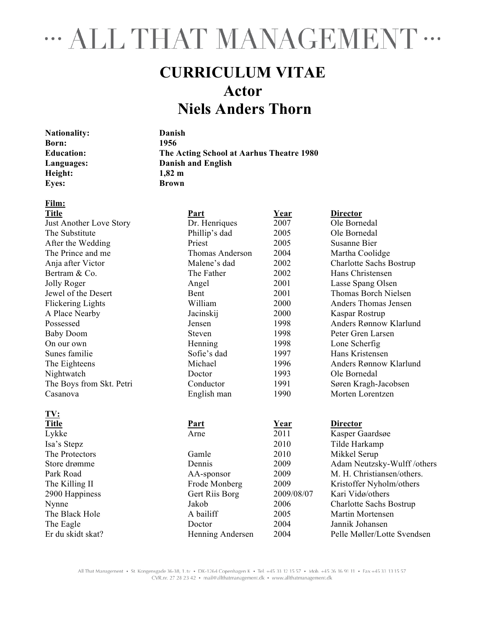# " ALL THAT MANAGEMENT "

## **CURRICULUM VITAE Actor Niels Anders Thorn**

| <b>Nationality:</b> |
|---------------------|
| Born:               |
| <b>Education:</b>   |
| Languages:          |
| Height:             |
| <b>Eyes:</b>        |

**Nationality: Danish Born: 1956 Education: The Acting School at Aarhus Theatre 1980 Languages: Danish and English Height: 1,82 m Eyes: Brown**

## **Film:**

| <b>Title</b>                   | Part            | Year        | <b>Director</b>                |
|--------------------------------|-----------------|-------------|--------------------------------|
| <b>Just Another Love Story</b> | Dr. Henriques   | 2007        | Ole Bornedal                   |
| The Substitute                 | Phillip's dad   | 2005        | Ole Bornedal                   |
| After the Wedding              | Priest          | 2005        | <b>Susanne Bier</b>            |
| The Prince and me              | Thomas Anderson | 2004        | Martha Coolidge                |
| Anja after Victor              | Malene's dad    | 2002        | <b>Charlotte Sachs Bostrup</b> |
| Bertram & Co.                  | The Father      | 2002        | Hans Christensen               |
| Jolly Roger                    | Angel           | 2001        | Lasse Spang Olsen              |
| Jewel of the Desert            | Bent            | 2001        | <b>Thomas Borch Nielsen</b>    |
| <b>Flickering Lights</b>       | William         | 2000        | Anders Thomas Jensen           |
| A Place Nearby                 | Jacinskij       | 2000        | Kaspar Rostrup                 |
| Possessed                      | Jensen          | 1998        | Anders Rønnow Klarlund         |
| <b>Baby Doom</b>               | <b>Steven</b>   | 1998        | Peter Gren Larsen              |
| On our own                     | Henning         | 1998        | Lone Scherfig                  |
| Sunes familie                  | Sofie's dad     | 1997        | Hans Kristensen                |
| The Eighteens                  | Michael         | 1996        | Anders Rønnow Klarlund         |
| Nightwatch                     | Doctor          | 1993        | Ole Bornedal                   |
| The Boys from Skt. Petri       | Conductor       | 1991        | Søren Kragh-Jacobsen           |
| Casanova                       | English man     | 1990        | Morten Lorentzen               |
| TV:                            |                 |             |                                |
| <b>Title</b>                   | <b>Part</b>     | <u>Year</u> | <b>Director</b>                |
| Lykke                          | Arne            | 2011        | Kasper Gaardsøe                |
| Isa's Stepz                    |                 | 2010        | Tilde Harkamp                  |
| The Protectors                 | Gamle           | 2010        | Mikkel Serup                   |
| Store drømme                   | Dennis          | 2009        | Adam Neutzsky-Wulff/others     |
| Park Road                      | AA-sponsor      | 2009        | M. H. Christiansen/others.     |
| The Killing II                 | Frode Monberg   | 2009        | Kristoffer Nyholm/others       |
| 2900 Happiness                 | Gert Riis Borg  | 2009/08/07  | Kari Vidø/others               |
| Nynne                          | Jakob           | 2006        | Charlotte Sachs Bostrup        |
| The Black Hole                 | A bailiff       | 2005        | Martin Mortensen               |
| The Eagle                      | Doctor          | 2004        | Jannik Johansen                |

Er du skidt skat? Henning Andersen 2004 Pelle Møller/Lotte Svendsen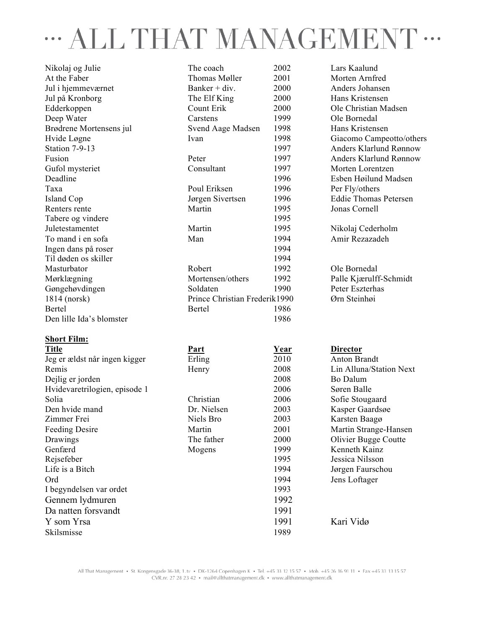## ALL THAT MANAGEMENT ...  $\ddot{\bullet}$   $\dot{\bullet}$   $\ddot{\bullet}$

Nikolaj og Julie The coach 2002 Lars Kaalund At the Faber Thomas Møller 2001 Morten Arnfred Jul i hjemmeværnet Banker + div. 2000 Anders Johansen Jul på Kronborg The Elf King 2000 Hans Kristensen Edderkoppen Count Erik 2000 Ole Christian Madsen Deep Water Carstens 1999 Ole Bornedal Brødrene Mortensens jul Svend Aage Madsen 1998 Hans Kristensen Hvide Løgne Ivan Ivan 1998 Giacomo Campeotto/others Station 7-9-13 1997 Anders Klarlund Rønnow Fusion **Peter** 1997 Anders Klarlund Rønnow Gufol mysteriet Consultant 1997 Morten Lorentzen Deadline 1996 Esben Høilund Madsen Taxa Poul Eriksen 1996 Per Fly/others Island Cop Jørgen Sivertsen 1996 Eddie Thomas Petersen Renters rente Martin 1995 Jonas Cornell Tabere og vindere 1995 Juletestamentet Martin 1995 Nikolaj Cederholm To mand i en sofa Man 1994 Amir Rezazadeh Ingen dans på roser 1994 Til døden os skiller 1994 Masturbator Robert 1992 Ole Bornedal Mørklægning Mortensen/others 1992 Palle Kjærulff-Schmidt Gøngehøvdingen Soldaten 1990 Peter Eszterhas 1814 (norsk) Prince Christian Frederik1990 Ørn Steinhøi Bertel 1986 Den lille Ida's blomster 1986

#### **Short Film:**

| <b>Title</b>                  | Part        | Year | <b>Director</b>         |
|-------------------------------|-------------|------|-------------------------|
| Jeg er ældst når ingen kigger | Erling      | 2010 | <b>Anton Brandt</b>     |
| Remis                         | Henry       | 2008 | Lin Alluna/Station Next |
| Dejlig er jorden              |             | 2008 | Bo Dalum                |
| Hvidevaretrilogien, episode 1 |             | 2006 | Søren Balle             |
| Solia                         | Christian   | 2006 | Sofie Stougaard         |
| Den hvide mand                | Dr. Nielsen | 2003 | Kasper Gaardsøe         |
| Zimmer Frei                   | Niels Bro   | 2003 | Karsten Baagø           |
| <b>Feeding Desire</b>         | Martin      | 2001 | Martin Strange-Hansen   |
| Drawings                      | The father  | 2000 | Olivier Bugge Coutte    |
| Genfærd                       | Mogens      | 1999 | Kenneth Kainz           |
| Rejsefeber                    |             | 1995 | Jessica Nilsson         |
| Life is a Bitch               |             | 1994 | Jørgen Faurschou        |
| Ord                           |             | 1994 | Jens Loftager           |
| I begyndelsen var ordet       |             | 1993 |                         |
| Gennem lydmuren               |             | 1992 |                         |
| Da natten forsvandt           |             | 1991 |                         |
| Y som Yrsa                    |             | 1991 | Kari Vidø               |
| Skilsmisse                    |             | 1989 |                         |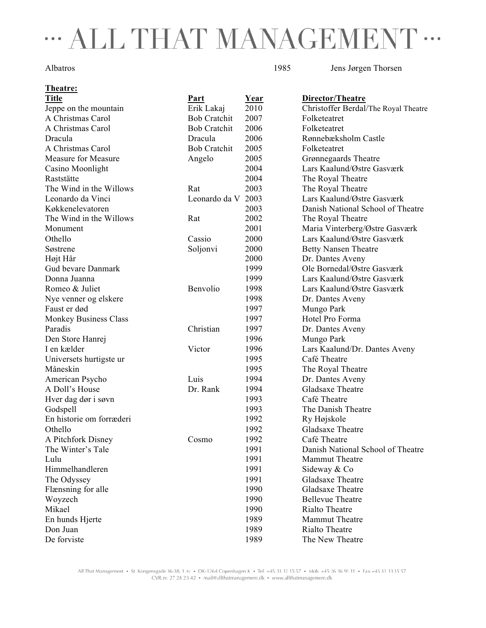# " ALL THAT MANAGEMENT "

**Theatre:**

Albatros 1985 Jens Jørgen Thorsen

| <b>Title</b>             | <b>Part</b>         | <u>Year</u> | Director/Theatre                     |
|--------------------------|---------------------|-------------|--------------------------------------|
| Jeppe on the mountain    | Erik Lakaj          | 2010        | Christoffer Berdal/The Royal Theatre |
| A Christmas Carol        | <b>Bob Cratchit</b> | 2007        | Folketeatret                         |
| A Christmas Carol        | <b>Bob Cratchit</b> | 2006        | Folketeatret                         |
| Dracula                  | Dracula             | 2006        | Rønnebæksholm Castle                 |
| A Christmas Carol        | <b>Bob Cratchit</b> | 2005        | Folketeatret                         |
| Measure for Measure      | Angelo              | 2005        | Grønnegaards Theatre                 |
| Casino Moonlight         |                     | 2004        | Lars Kaalund/Østre Gasværk           |
| Raststätte               |                     | 2004        | The Royal Theatre                    |
| The Wind in the Willows  | Rat                 | 2003        | The Royal Theatre                    |
| Leonardo da Vinci        | Leonardo da V 2003  |             | Lars Kaalund/Østre Gasværk           |
| Køkkenelevatoren         |                     | 2003        | Danish National School of Theatre    |
| The Wind in the Willows  | Rat                 | 2002        | The Royal Theatre                    |
| Monument                 |                     | 2001        | Maria Vinterberg/Østre Gasværk       |
| Othello                  | Cassio              | 2000        | Lars Kaalund/Østre Gasværk           |
| Søstrene                 | Soljonvi            | 2000        | <b>Betty Nansen Theatre</b>          |
| Højt Hår                 |                     | 2000        | Dr. Dantes Aveny                     |
| Gud bevare Danmark       |                     | 1999        | Ole Bornedal/Østre Gasværk           |
| Donna Juanna             |                     | 1999        | Lars Kaalund/Østre Gasværk           |
| Romeo & Juliet           | Benvolio            | 1998        | Lars Kaalund/Østre Gasværk           |
| Nye venner og elskere    |                     | 1998        | Dr. Dantes Aveny                     |
| Faust er død             |                     | 1997        | Mungo Park                           |
| Monkey Business Class    |                     | 1997        | Hotel Pro Forma                      |
| Paradis                  | Christian           | 1997        | Dr. Dantes Aveny                     |
| Den Store Hanrej         |                     | 1996        | Mungo Park                           |
| I en kælder              | Victor              | 1996        | Lars Kaalund/Dr. Dantes Aveny        |
| Universets hurtigste ur  |                     | 1995        | Café Theatre                         |
| Måneskin                 |                     | 1995        | The Royal Theatre                    |
| American Psycho          | Luis                | 1994        | Dr. Dantes Aveny                     |
| A Doll's House           | Dr. Rank            | 1994        | Gladsaxe Theatre                     |
| Hver dag dør i søvn      |                     | 1993        | Café Theatre                         |
| Godspell                 |                     | 1993        | The Danish Theatre                   |
| En historie om forræderi |                     | 1992        | Ry Højskole                          |
| Othello                  |                     | 1992        | Gladsaxe Theatre                     |
| A Pitchfork Disney       | Cosmo               | 1992        | Café Theatre                         |
| The Winter's Tale        |                     | 1991        | Danish National School of Theatre    |
| Lulu                     |                     | 1991        | <b>Mammut Theatre</b>                |
| Himmelhandleren          |                     | 1991        | Sideway & Co                         |
| The Odyssey              |                     | 1991        | Gladsaxe Theatre                     |
| Flænsning for alle       |                     | 1990        | Gladsaxe Theatre                     |
| Woyzech                  |                     | 1990        | <b>Bellevue Theatre</b>              |
| Mikael                   |                     | 1990        | Rialto Theatre                       |
| En hunds Hjerte          |                     | 1989        | Mammut Theatre                       |
| Don Juan                 |                     | 1989        | Rialto Theatre                       |
| De forviste              |                     | 1989        | The New Theatre                      |